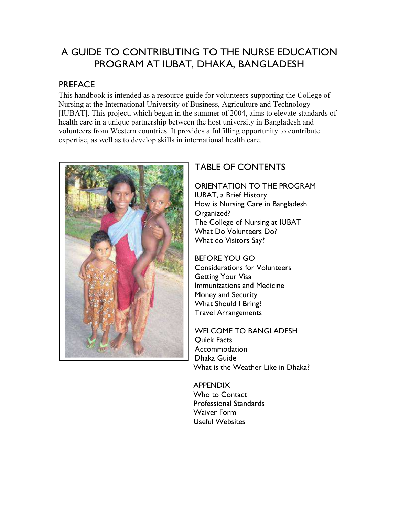## A GUIDE TO CONTRIBUTING TO THE NURSE EDUCATION PROGRAM AT IUBAT, DHAKA, BANGLADESH

## **PREFACE**

This handbook is intended as a resource guide for volunteers supporting the College of Nursing at the International University of Business, Agriculture and Technology [IUBAT]. This project, which began in the summer of 2004, aims to elevate standards of health care in a unique partnership between the host university in Bangladesh and volunteers from Western countries. It provides a fulfilling opportunity to contribute expertise, as well as to develop skills in international health care.



## TABLE OF CONTENTS

ORIENTATION TO THE PROGRAM IUBAT, a Brief History How is Nursing Care in Bangladesh Organized? The College of Nursing at IUBAT What Do Volunteers Do? What do Visitors Say?

BEFORE YOU GO Considerations for Volunteers Getting Your Visa Immunizations and Medicine Money and Security What Should I Bring? Travel Arrangements

WELCOME TO BANGLADESH Quick Facts Accommodation Dhaka Guide What is the Weather Like in Dhaka?

APPENDIX Who to Contact Professional Standards Waiver Form Useful Websites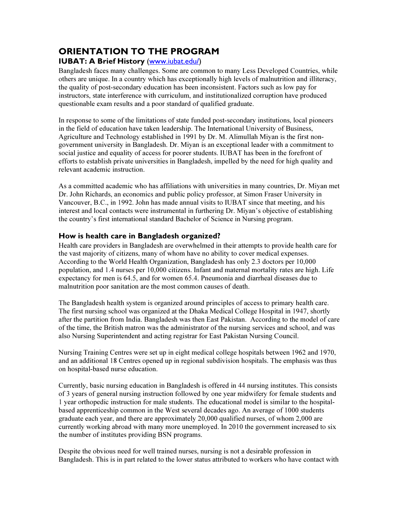# ORIENTATION TO THE PROGRAM

### IUBAT: A Brief History (www.iubat.edu/)

Bangladesh faces many challenges. Some are common to many Less Developed Countries, while others are unique. In a country which has exceptionally high levels of malnutrition and illiteracy, the quality of post-secondary education has been inconsistent. Factors such as low pay for instructors, state interference with curriculum, and institutionalized corruption have produced questionable exam results and a poor standard of qualified graduate.

In response to some of the limitations of state funded post-secondary institutions, local pioneers in the field of education have taken leadership. The International University of Business, Agriculture and Technology established in 1991 by Dr. M. Alimullah Miyan is the first nongovernment university in Bangladesh. Dr. Miyan is an exceptional leader with a commitment to social justice and equality of access for poorer students. IUBAT has been in the forefront of efforts to establish private universities in Bangladesh, impelled by the need for high quality and relevant academic instruction.

As a committed academic who has affiliations with universities in many countries, Dr. Miyan met Dr. John Richards, an economics and public policy professor, at Simon Fraser University in Vancouver, B.C., in 1992. John has made annual visits to IUBAT since that meeting, and his interest and local contacts were instrumental in furthering Dr. Miyan's objective of establishing the country's first international standard Bachelor of Science in Nursing program.

#### How is health care in Bangladesh organized?

Health care providers in Bangladesh are overwhelmed in their attempts to provide health care for the vast majority of citizens, many of whom have no ability to cover medical expenses. According to the World Health Organization, Bangladesh has only 2.3 doctors per 10,000 population, and 1.4 nurses per 10,000 citizens. Infant and maternal mortality rates are high. Life expectancy for men is 64.5, and for women 65.4. Pneumonia and diarrheal diseases due to malnutrition poor sanitation are the most common causes of death.

The Bangladesh health system is organized around principles of access to primary health care. The first nursing school was organized at the Dhaka Medical College Hospital in 1947, shortly after the partition from India. Bangladesh was then East Pakistan. According to the model of care of the time, the British matron was the administrator of the nursing services and school, and was also Nursing Superintendent and acting registrar for East Pakistan Nursing Council.

Nursing Training Centres were set up in eight medical college hospitals between 1962 and 1970, and an additional 18 Centres opened up in regional subdivision hospitals. The emphasis was thus on hospital-based nurse education.

Currently, basic nursing education in Bangladesh is offered in 44 nursing institutes. This consists of 3 years of general nursing instruction followed by one year midwifery for female students and 1 year orthopedic instruction for male students. The educational model is similar to the hospitalbased apprenticeship common in the West several decades ago. An average of 1000 students graduate each year, and there are approximately 20,000 qualified nurses, of whom 2,000 are currently working abroad with many more unemployed. In 2010 the government increased to six the number of institutes providing BSN programs.

Despite the obvious need for well trained nurses, nursing is not a desirable profession in Bangladesh. This is in part related to the lower status attributed to workers who have contact with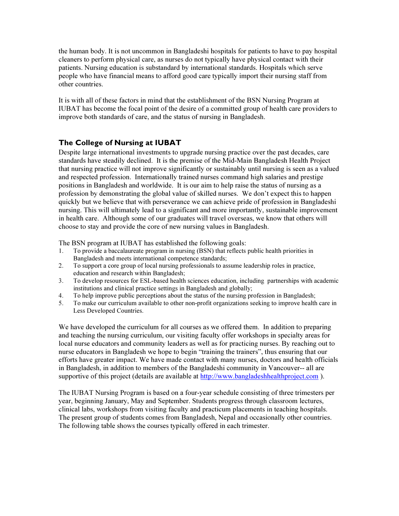the human body. It is not uncommon in Bangladeshi hospitals for patients to have to pay hospital cleaners to perform physical care, as nurses do not typically have physical contact with their patients. Nursing education is substandard by international standards. Hospitals which serve people who have financial means to afford good care typically import their nursing staff from other countries.

It is with all of these factors in mind that the establishment of the BSN Nursing Program at IUBAT has become the focal point of the desire of a committed group of health care providers to improve both standards of care, and the status of nursing in Bangladesh.

#### The College of Nursing at IUBAT

Despite large international investments to upgrade nursing practice over the past decades, care standards have steadily declined. It is the premise of the Mid-Main Bangladesh Health Project that nursing practice will not improve significantly or sustainably until nursing is seen as a valued and respected profession. Internationally trained nurses command high salaries and prestige positions in Bangladesh and worldwide. It is our aim to help raise the status of nursing as a profession by demonstrating the global value of skilled nurses. We don't expect this to happen quickly but we believe that with perseverance we can achieve pride of profession in Bangladeshi nursing. This will ultimately lead to a significant and more importantly, sustainable improvement in health care. Although some of our graduates will travel overseas, we know that others will choose to stay and provide the core of new nursing values in Bangladesh.

The BSN program at IUBAT has established the following goals:

- 1. To provide a baccalaureate program in nursing (BSN) that reflects public health priorities in Bangladesh and meets international competence standards;
- 2. To support a core group of local nursing professionals to assume leadership roles in practice, education and research within Bangladesh;
- 3. To develop resources for ESL-based health sciences education, including partnerships with academic institutions and clinical practice settings in Bangladesh and globally;
- 4. To help improve public perceptions about the status of the nursing profession in Bangladesh;
- 5. To make our curriculum available to other non-profit organizations seeking to improve health care in Less Developed Countries.

We have developed the curriculum for all courses as we offered them. In addition to preparing and teaching the nursing curriculum, our visiting faculty offer workshops in specialty areas for local nurse educators and community leaders as well as for practicing nurses. By reaching out to nurse educators in Bangladesh we hope to begin "training the trainers", thus ensuring that our efforts have greater impact. We have made contact with many nurses, doctors and health officials in Bangladesh, in addition to members of the Bangladeshi community in Vancouver-- all are supportive of this project (details are available at http://www.bangladeshhealthproject.com).

The IUBAT Nursing Program is based on a four-year schedule consisting of three trimesters per year, beginning January, May and September. Students progress through classroom lectures, clinical labs, workshops from visiting faculty and practicum placements in teaching hospitals. The present group of students comes from Bangladesh, Nepal and occasionally other countries. The following table shows the courses typically offered in each trimester.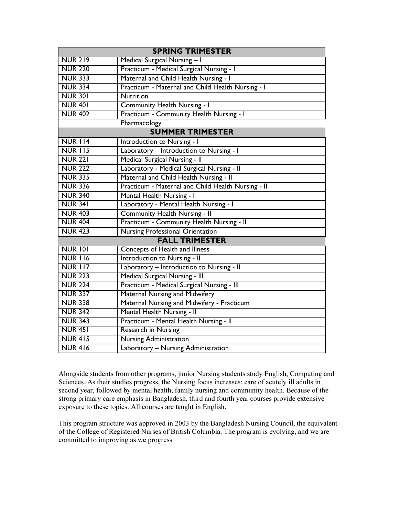| <b>SPRING TRIMESTER</b> |                                                    |  |
|-------------------------|----------------------------------------------------|--|
| <b>NUR 219</b>          | Medical Surgical Nursing - I                       |  |
| <b>NUR 220</b>          | Practicum - Medical Surgical Nursing - I           |  |
| <b>NUR 333</b>          | Maternal and Child Health Nursing - I              |  |
| <b>NUR 334</b>          | Practicum - Maternal and Child Health Nursing - I  |  |
| <b>NUR 301</b>          | <b>Nutrition</b>                                   |  |
| <b>NUR 401</b>          | Community Health Nursing - I                       |  |
| <b>NUR 402</b>          | Practicum - Community Health Nursing - I           |  |
|                         | Pharmacology                                       |  |
| <b>SUMMER TRIMESTER</b> |                                                    |  |
| <b>NUR 114</b>          | Introduction to Nursing - I                        |  |
| <b>NUR 115</b>          | Laboratory - Introduction to Nursing - I           |  |
| <b>NUR 221</b>          | Medical Surgical Nursing - II                      |  |
| <b>NUR 222</b>          | Laboratory - Medical Surgical Nursing - II         |  |
| <b>NUR 335</b>          | Maternal and Child Health Nursing - II             |  |
| <b>NUR 336</b>          | Practicum - Maternal and Child Health Nursing - II |  |
| <b>NUR 340</b>          | Mental Health Nursing - I                          |  |
| <b>NUR 341</b>          | Laboratory - Mental Health Nursing - I             |  |
| <b>NUR 403</b>          | <b>Community Health Nursing - II</b>               |  |
| <b>NUR 404</b>          | Practicum - Community Health Nursing - II          |  |
| <b>NUR 423</b>          | <b>Nursing Professional Orientation</b>            |  |
| <b>FALL TRIMESTER</b>   |                                                    |  |
| <b>NUR 101</b>          | Concepts of Health and Illness                     |  |
| <b>NUR 116</b>          | Introduction to Nursing - II                       |  |
| <b>NUR 117</b>          | Laboratory - Introduction to Nursing - II          |  |
| <b>NUR 223</b>          | Medical Surgical Nursing - III                     |  |
| <b>NUR 224</b>          | Practicum - Medical Surgical Nursing - III         |  |
| <b>NUR 337</b>          | Maternal Nursing and Midwifery                     |  |
| <b>NUR 338</b>          | Maternal Nursing and Midwifery - Practicum         |  |
| <b>NUR 342</b>          | Mental Health Nursing - II                         |  |
| <b>NUR 343</b>          | Practicum - Mental Health Nursing - II             |  |
| <b>NUR 451</b>          | <b>Research in Nursing</b>                         |  |
| <b>NUR 415</b>          | Nursing Administration                             |  |
| <b>NUR 416</b>          | Laboratory - Nursing Administration                |  |

Alongside students from other programs, junior Nursing students study English, Computing and Sciences. As their studies progress, the Nursing focus increases: care of acutely ill adults in second year, followed by mental health, family nursing and community health. Because of the strong primary care emphasis in Bangladesh, third and fourth year courses provide extensive exposure to these topics. All courses are taught in English.

This program structure was approved in 2003 by the Bangladesh Nursing Council, the equivalent of the College of Registered Nurses of British Columbia. The program is evolving, and we are committed to improving as we progress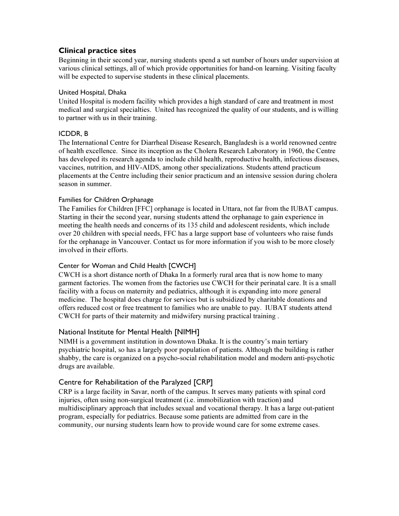#### Clinical practice sites

Beginning in their second year, nursing students spend a set number of hours under supervision at various clinical settings, all of which provide opportunities for hand-on learning. Visiting faculty will be expected to supervise students in these clinical placements.

#### United Hospital, Dhaka

United Hospital is modern facility which provides a high standard of care and treatment in most medical and surgical specialties. United has recognized the quality of our students, and is willing to partner with us in their training.

#### ICDDR, B

The International Centre for Diarrheal Disease Research, Bangladesh is a world renowned centre of health excellence. Since its inception as the Cholera Research Laboratory in 1960, the Centre has developed its research agenda to include child health, reproductive health, infectious diseases, vaccines, nutrition, and HIV-AIDS, among other specializations. Students attend practicum placements at the Centre including their senior practicum and an intensive session during cholera season in summer.

#### Families for Children Orphanage

The Families for Children [FFC] orphanage is located in Uttara, not far from the IUBAT campus. Starting in their the second year, nursing students attend the orphanage to gain experience in meeting the health needs and concerns of its 135 child and adolescent residents, which include over 20 children with special needs, FFC has a large support base of volunteers who raise funds for the orphanage in Vancouver. Contact us for more information if you wish to be more closely involved in their efforts.

#### Center for Woman and Child Health [CWCH]

CWCH is a short distance north of Dhaka In a formerly rural area that is now home to many garment factories. The women from the factories use CWCH for their perinatal care. It is a small facility with a focus on maternity and pediatrics, although it is expanding into more general medicine. The hospital does charge for services but is subsidized by charitable donations and offers reduced cost or free treatment to families who are unable to pay. IUBAT students attend CWCH for parts of their maternity and midwifery nursing practical training .

#### National Institute for Mental Health [NIMH]

NIMH is a government institution in downtown Dhaka. It is the country's main tertiary psychiatric hospital, so has a largely poor population of patients. Although the building is rather shabby, the care is organized on a psycho-social rehabilitation model and modern anti-psychotic drugs are available.

#### Centre for Rehabilitation of the Paralyzed [CRP]

CRP is a large facility in Savar, north of the campus. It serves many patients with spinal cord injuries, often using non-surgical treatment (i.e. immobilization with traction) and multidisciplinary approach that includes sexual and vocational therapy. It has a large out-patient program, especially for pediatrics. Because some patients are admitted from care in the community, our nursing students learn how to provide wound care for some extreme cases.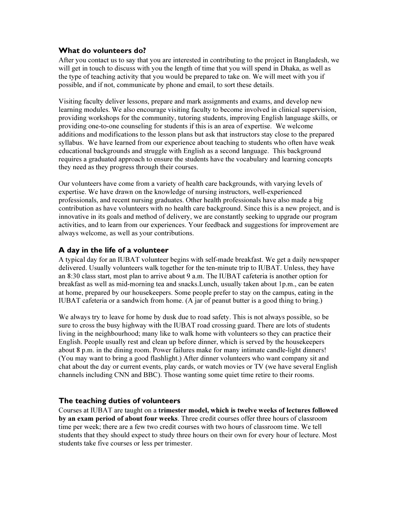#### What do volunteers do?

After you contact us to say that you are interested in contributing to the project in Bangladesh, we will get in touch to discuss with you the length of time that you will spend in Dhaka, as well as the type of teaching activity that you would be prepared to take on. We will meet with you if possible, and if not, communicate by phone and email, to sort these details.

Visiting faculty deliver lessons, prepare and mark assignments and exams, and develop new learning modules. We also encourage visiting faculty to become involved in clinical supervision, providing workshops for the community, tutoring students, improving English language skills, or providing one-to-one counseling for students if this is an area of expertise. We welcome additions and modifications to the lesson plans but ask that instructors stay close to the prepared syllabus. We have learned from our experience about teaching to students who often have weak educational backgrounds and struggle with English as a second language. This background requires a graduated approach to ensure the students have the vocabulary and learning concepts they need as they progress through their courses.

Our volunteers have come from a variety of health care backgrounds, with varying levels of expertise. We have drawn on the knowledge of nursing instructors, well-experienced professionals, and recent nursing graduates. Other health professionals have also made a big contribution as have volunteers with no health care background. Since this is a new project, and is innovative in its goals and method of delivery, we are constantly seeking to upgrade our program activities, and to learn from our experiences. Your feedback and suggestions for improvement are always welcome, as well as your contributions.

#### A day in the life of a volunteer

A typical day for an IUBAT volunteer begins with self-made breakfast. We get a daily newspaper delivered. Usually volunteers walk together for the ten-minute trip to IUBAT. Unless, they have an 8:30 class start, most plan to arrive about 9 a.m. The IUBAT cafeteria is another option for breakfast as well as mid-morning tea and snacks.Lunch, usually taken about 1p.m., can be eaten at home, prepared by our housekeepers. Some people prefer to stay on the campus, eating in the IUBAT cafeteria or a sandwich from home. (A jar of peanut butter is a good thing to bring.)

We always try to leave for home by dusk due to road safety. This is not always possible, so be sure to cross the busy highway with the IUBAT road crossing guard. There are lots of students living in the neighbourhood; many like to walk home with volunteers so they can practice their English. People usually rest and clean up before dinner, which is served by the housekeepers about 8 p.m. in the dining room. Power failures make for many intimate candle-light dinners! (You may want to bring a good flashlight.) After dinner volunteers who want company sit and chat about the day or current events, play cards, or watch movies or TV (we have several English channels including CNN and BBC). Those wanting some quiet time retire to their rooms.

#### The teaching duties of volunteers

Courses at IUBAT are taught on a trimester model, which is twelve weeks of lectures followed by an exam period of about four weeks. Three credit courses offer three hours of classroom time per week; there are a few two credit courses with two hours of classroom time. We tell students that they should expect to study three hours on their own for every hour of lecture. Most students take five courses or less per trimester.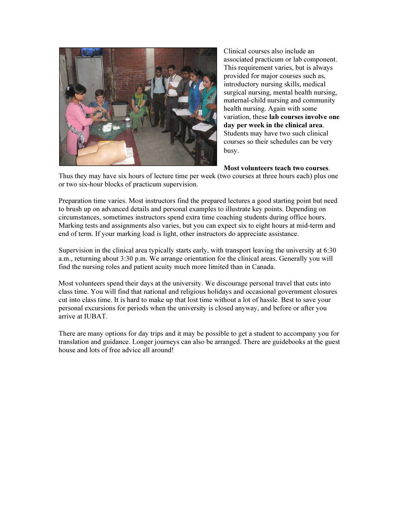

Clinical courses also include an associated practicum or lab component. This requirement varies, but is always provided for major courses such as, introductory nursing skills, medical surgical nursing, mental health nursing, maternal-child nursing and community health nursing. Again with some variation, these lab courses involve one day per week in the clinical area. Students may have two such clinical courses so their schedules can be very busy.

Most volunteers teach two courses.

Thus they may have six hours of lecture time per week (two courses at three hours each) plus one or two six-hour blocks of practicum supervision.

Preparation time varies. Most instructors find the prepared lectures a good starting point but need to brush up on advanced details and personal examples to illustrate key points. Depending on circumstances, sometimes instructors spend extra time coaching students during office hours. Marking tests and assignments also varies, but you can expect six to eight hours at mid-term and end of term. If your marking load is light, other instructors do appreciate assistance.

Supervision in the clinical area typically starts early, with transport leaving the university at 6:30 a.m., returning about 3:30 p.m. We arrange orientation for the clinical areas. Generally you will find the nursing roles and patient acuity much more limited than in Canada.

Most volunteers spend their days at the university. We discourage personal travel that cuts into class time. You will find that national and religious holidays and occasional government closures cut into class time. It is hard to make up that lost time without a lot of hassle. Best to save your personal excursions for periods when the university is closed anyway, and before or after you arrive at IUBAT.

There are many options for day trips and it may be possible to get a student to accompany you for translation and guidance. Longer journeys can also be arranged. There are guidebooks at the guest house and lots of free advice all around!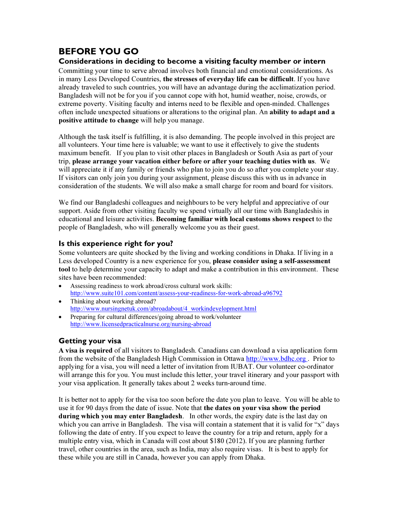## BEFORE YOU GO

#### Considerations in deciding to become a visiting faculty member or intern

Committing your time to serve abroad involves both financial and emotional considerations. As in many Less Developed Countries, the stresses of everyday life can be difficult. If you have already traveled to such countries, you will have an advantage during the acclimatization period. Bangladesh will not be for you if you cannot cope with hot, humid weather, noise, crowds, or extreme poverty. Visiting faculty and interns need to be flexible and open-minded. Challenges often include unexpected situations or alterations to the original plan. An ability to adapt and a positive attitude to change will help you manage.

Although the task itself is fulfilling, it is also demanding. The people involved in this project are all volunteers. Your time here is valuable; we want to use it effectively to give the students maximum benefit. If you plan to visit other places in Bangladesh or South Asia as part of your trip, please arrange your vacation either before or after your teaching duties with us. We will appreciate it if any family or friends who plan to join you do so after you complete your stay. If visitors can only join you during your assignment, please discuss this with us in advance in consideration of the students. We will also make a small charge for room and board for visitors.

We find our Bangladeshi colleagues and neighbours to be very helpful and appreciative of our support. Aside from other visiting faculty we spend virtually all our time with Bangladeshis in educational and leisure activities. Becoming familiar with local customs shows respect to the people of Bangladesh, who will generally welcome you as their guest.

### Is this experience right for you?

Some volunteers are quite shocked by the living and working conditions in Dhaka. If living in a Less developed Country is a new experience for you, please consider using a self-assessment tool to help determine your capacity to adapt and make a contribution in this environment. These sites have been recommended:

- Assessing readiness to work abroad/cross cultural work skills: http://www.suite101.com/content/assess-your-readiness-for-work-abroad-a96792
- Thinking about working abroad? http://www.nursingnetuk.com/abroadabout/4\_workindevelopment.html
- Preparing for cultural differences/going abroad to work/volunteer http://www.licensedpracticalnurse.org/nursing-abroad

### Getting your visa

A visa is required of all visitors to Bangladesh. Canadians can download a visa application form from the website of the Bangladesh High Commission in Ottawa http://www.bdhc.org . Prior to applying for a visa, you will need a letter of invitation from IUBAT. Our volunteer co-ordinator will arrange this for you. You must include this letter, your travel itinerary and your passport with your visa application. It generally takes about 2 weeks turn-around time.

It is better not to apply for the visa too soon before the date you plan to leave. You will be able to use it for 90 days from the date of issue. Note that the dates on your visa show the period during which you may enter Bangladesh. In other words, the expiry date is the last day on which you can arrive in Bangladesh. The visa will contain a statement that it is valid for "x" days following the date of entry. If you expect to leave the country for a trip and return, apply for a multiple entry visa, which in Canada will cost about \$180 (2012). If you are planning further travel, other countries in the area, such as India, may also require visas. It is best to apply for these while you are still in Canada, however you can apply from Dhaka.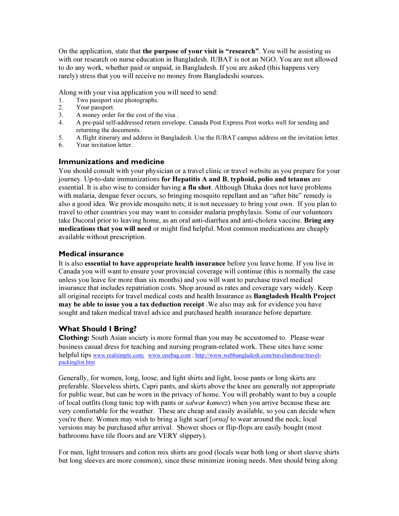On the application, state that the purpose of your visit is "research". You will be assisting us with our research on nurse education in Bangladesh. IUBAT is not an NGO. You are not allowed to do any work, whether paid or unpaid, in Bangladesh. If you are asked (this happens very rarely) stress that you will receive no money from Bangladeshi sources.

Along with your visa application you will need to send:

- 1. Two passport size photographs.<br>2. Your passport.
- Your passport.
- 3. A money order for the cost of the visa .
- 4. A pre-paid self-addressed return envelope. Canada Post Express Post works well for sending and returning the documents.
- 5. A flight itinerary and address in Bangladesh. Use the IUBAT campus address on the invitation letter.
- 6. Your invitation letter.

#### Immunizations and medicine

You should consult with your physician or a travel clinic or travel website as you prepare for your journey. Up-to-date immunizations for Hepatitis A and B, typhoid, polio and tetanus are essential. It is also wise to consider having **a flu shot**. Although Dhaka does not have problems with malaria, dengue fever occurs, so bringing mosquito repellant and an "after bite" remedy is also a good idea. We provide mosquito nets; it is not necessary to bring your own. If you plan to travel to other countries you may want to consider malaria prophylaxis. Some of our volunteers take Ducoral prior to leaving home, as an oral anti-diarrhea and anti-cholera vaccine. **Bring any** medications that you will need or might find helpful. Most common medications are cheaply available without prescription.

#### Medical insurance

It is also **essential to have appropriate health insurance** before you leave home. If you live in Canada you will want to ensure your provincial coverage will continue (this is normally the case unless you leave for more than six months) and you will want to purchase travel medical insurance that includes repatriation costs. Shop around as rates and coverage vary widely. Keep all original receipts for travel medical costs and health Insurance as **Bangladesh Health Project** may be able to issue you a tax deduction receipt .We also may ask for evidence you have sought and taken medical travel advice and purchased health insurance before departure.

#### What Should I Bring?

Clothing: South Asian society is more formal than you may be accustomed to. Please wear business casual dress for teaching and nursing program-related work. These sites have some helpful tips www.realsimple.com; www.onebag.com; http://www.webbangladesh.com/travelandtour/travelpackinglist.htm

Generally, for women, long, loose, and light shirts and light, loose pants or long skirts are preferable. Sleeveless shirts, Capri pants, and skirts above the knee are generally not appropriate for public wear, but can be worn in the privacy of home. You will probably want to buy a couple of local outfits (long tunic top with pants or *salwar kameez*) when you arrive because these are very comfortable for the weather. These are cheap and easily available, so you can decide when you're there. Women may wish to bring a light scarf [*orna]* to wear around the neck; local versions may be purchased after arrival. Shower shoes or flip-flops are easily bought (most bathrooms have tile floors and are VERY slippery).

For men, light trousers and cotton mix shirts are good (locals wear both long or short sleeve shirts but long sleeves are more common), since these minimize ironing needs. Men should bring along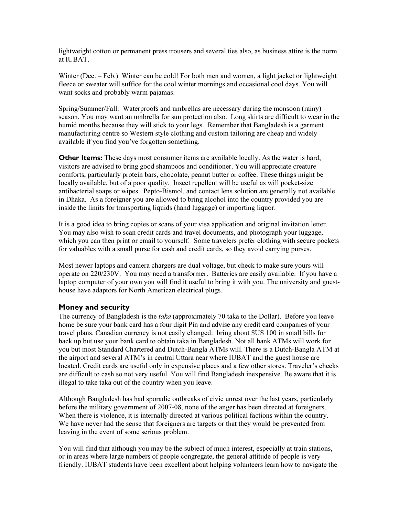lightweight cotton or permanent press trousers and several ties also, as business attire is the norm at IUBAT.

Winter (Dec. – Feb.) Winter can be cold! For both men and women, a light jacket or lightweight fleece or sweater will suffice for the cool winter mornings and occasional cool days. You will want socks and probably warm pajamas.

Spring/Summer/Fall: Waterproofs and umbrellas are necessary during the monsoon (rainy) season. You may want an umbrella for sun protection also. Long skirts are difficult to wear in the humid months because they will stick to your legs. Remember that Bangladesh is a garment manufacturing centre so Western style clothing and custom tailoring are cheap and widely available if you find you've forgotten something.

Other Items: These days most consumer items are available locally. As the water is hard, visitors are advised to bring good shampoos and conditioner. You will appreciate creature comforts, particularly protein bars, chocolate, peanut butter or coffee. These things might be locally available, but of a poor quality. Insect repellent will be useful as will pocket-size antibacterial soaps or wipes. Pepto-Bismol, and contact lens solution are generally not available in Dhaka. As a foreigner you are allowed to bring alcohol into the country provided you are inside the limits for transporting liquids (hand luggage) or importing liquor.

It is a good idea to bring copies or scans of your visa application and original invitation letter. You may also wish to scan credit cards and travel documents, and photograph your luggage, which you can then print or email to yourself. Some travelers prefer clothing with secure pockets for valuables with a small purse for cash and credit cards, so they avoid carrying purses.

Most newer laptops and camera chargers are dual voltage, but check to make sure yours will operate on 220/230V. You may need a transformer. Batteries are easily available. If you have a laptop computer of your own you will find it useful to bring it with you. The university and guesthouse have adaptors for North American electrical plugs.

#### Money and security

The currency of Bangladesh is the *taka* (approximately 70 taka to the Dollar). Before you leave home be sure your bank card has a four digit Pin and advise any credit card companies of your travel plans. Canadian currency is not easily changed: bring about \$US 100 in small bills for back up but use your bank card to obtain taka in Bangladesh. Not all bank ATMs will work for you but most Standard Chartered and Dutch-Bangla ATMs will. There is a Dutch-Bangla ATM at the airport and several ATM's in central Uttara near where IUBAT and the guest house are located. Credit cards are useful only in expensive places and a few other stores. Traveler's checks are difficult to cash so not very useful. You will find Bangladesh inexpensive. Be aware that it is illegal to take taka out of the country when you leave.

Although Bangladesh has had sporadic outbreaks of civic unrest over the last years, particularly before the military government of 2007-08, none of the anger has been directed at foreigners. When there is violence, it is internally directed at various political factions within the country. We have never had the sense that foreigners are targets or that they would be prevented from leaving in the event of some serious problem.

You will find that although you may be the subject of much interest, especially at train stations, or in areas where large numbers of people congregate, the general attitude of people is very friendly. IUBAT students have been excellent about helping volunteers learn how to navigate the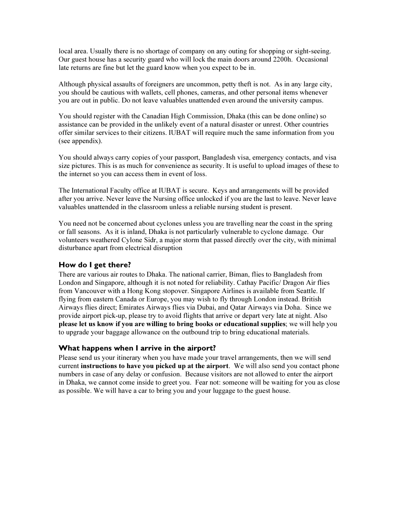local area. Usually there is no shortage of company on any outing for shopping or sight-seeing. Our guest house has a security guard who will lock the main doors around 2200h. Occasional late returns are fine but let the guard know when you expect to be in.

Although physical assaults of foreigners are uncommon, petty theft is not. As in any large city, you should be cautious with wallets, cell phones, cameras, and other personal items whenever you are out in public. Do not leave valuables unattended even around the university campus.

You should register with the Canadian High Commission, Dhaka (this can be done online) so assistance can be provided in the unlikely event of a natural disaster or unrest. Other countries offer similar services to their citizens. IUBAT will require much the same information from you (see appendix).

You should always carry copies of your passport, Bangladesh visa, emergency contacts, and visa size pictures. This is as much for convenience as security. It is useful to upload images of these to the internet so you can access them in event of loss.

The International Faculty office at IUBAT is secure. Keys and arrangements will be provided after you arrive. Never leave the Nursing office unlocked if you are the last to leave. Never leave valuables unattended in the classroom unless a reliable nursing student is present.

You need not be concerned about cyclones unless you are travelling near the coast in the spring or fall seasons. As it is inland, Dhaka is not particularly vulnerable to cyclone damage. Our volunteers weathered Cylone Sidr, a major storm that passed directly over the city, with minimal disturbance apart from electrical disruption

#### How do I get there?

There are various air routes to Dhaka. The national carrier, Biman, flies to Bangladesh from London and Singapore, although it is not noted for reliability. Cathay Pacific/ Dragon Air flies from Vancouver with a Hong Kong stopover. Singapore Airlines is available from Seattle. If flying from eastern Canada or Europe, you may wish to fly through London instead. British Airways flies direct; Emirates Airways flies via Dubai, and Qatar Airways via Doha. Since we provide airport pick-up, please try to avoid flights that arrive or depart very late at night. Also please let us know if you are willing to bring books or educational supplies; we will help you to upgrade your baggage allowance on the outbound trip to bring educational materials.

#### What happens when I arrive in the airport?

Please send us your itinerary when you have made your travel arrangements, then we will send current instructions to have you picked up at the airport. We will also send you contact phone numbers in case of any delay or confusion. Because visitors are not allowed to enter the airport in Dhaka, we cannot come inside to greet you. Fear not: someone will be waiting for you as close as possible. We will have a car to bring you and your luggage to the guest house.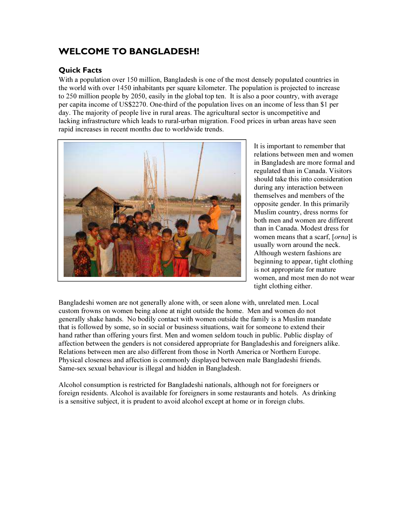## WELCOME TO BANGLADESH!

## Quick Facts

With a population over 150 million, Bangladesh is one of the most densely populated countries in the world with over 1450 inhabitants per square kilometer. The population is projected to increase to 250 million people by 2050, easily in the global top ten. It is also a poor country, with average per capita income of US\$2270. One-third of the population lives on an income of less than \$1 per day. The majority of people live in rural areas. The agricultural sector is uncompetitive and lacking infrastructure which leads to rural-urban migration. Food prices in urban areas have seen rapid increases in recent months due to worldwide trends.



It is important to remember that relations between men and women in Bangladesh are more formal and regulated than in Canada. Visitors should take this into consideration during any interaction between themselves and members of the opposite gender. In this primarily Muslim country, dress norms for both men and women are different than in Canada. Modest dress for women means that a scarf, [orna] is usually worn around the neck. Although western fashions are beginning to appear, tight clothing is not appropriate for mature women, and most men do not wear tight clothing either.

Bangladeshi women are not generally alone with, or seen alone with, unrelated men. Local custom frowns on women being alone at night outside the home. Men and women do not generally shake hands. No bodily contact with women outside the family is a Muslim mandate that is followed by some, so in social or business situations, wait for someone to extend their hand rather than offering yours first. Men and women seldom touch in public. Public display of affection between the genders is not considered appropriate for Bangladeshis and foreigners alike. Relations between men are also different from those in North America or Northern Europe. Physical closeness and affection is commonly displayed between male Bangladeshi friends. Same-sex sexual behaviour is illegal and hidden in Bangladesh.

Alcohol consumption is restricted for Bangladeshi nationals, although not for foreigners or foreign residents. Alcohol is available for foreigners in some restaurants and hotels. As drinking is a sensitive subject, it is prudent to avoid alcohol except at home or in foreign clubs.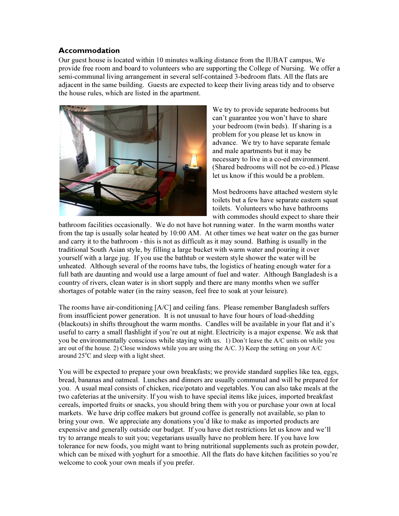#### Accommodation

Our guest house is located within 10 minutes walking distance from the IUBAT campus, We provide free room and board to volunteers who are supporting the College of Nursing. We offer a semi-communal living arrangement in several self-contained 3-bedroom flats. All the flats are adjacent in the same building. Guests are expected to keep their living areas tidy and to observe the house rules, which are listed in the apartment.



We try to provide separate bedrooms but can't guarantee you won't have to share your bedroom (twin beds). If sharing is a problem for you please let us know in advance. We try to have separate female and male apartments but it may be necessary to live in a co-ed environment. (Shared bedrooms will not be co-ed.) Please let us know if this would be a problem.

Most bedrooms have attached western style toilets but a few have separate eastern squat toilets. Volunteers who have bathrooms with commodes should expect to share their

bathroom facilities occasionally. We do not have hot running water. In the warm months water from the tap is usually solar heated by 10:00 AM. At other times we heat water on the gas burner and carry it to the bathroom - this is not as difficult as it may sound. Bathing is usually in the traditional South Asian style, by filling a large bucket with warm water and pouring it over yourself with a large jug. If you use the bathtub or western style shower the water will be unheated. Although several of the rooms have tubs, the logistics of heating enough water for a full bath are daunting and would use a large amount of fuel and water. Although Bangladesh is a country of rivers, clean water is in short supply and there are many months when we suffer shortages of potable water (in the rainy season, feel free to soak at your leisure).

The rooms have air-conditioning [A/C] and ceiling fans. Please remember Bangladesh suffers from insufficient power generation. It is not unusual to have four hours of load-shedding (blackouts) in shifts throughout the warm months. Candles will be available in your flat and it's useful to carry a small flashlight if you're out at night. Electricity is a major expense. We ask that you be environmentally conscious while staying with us. 1) Don't leave the A/C units on while you are out of the house. 2) Close windows while you are using the  $A/C$ . 3) Keep the setting on your  $A/C$ around  $25^{\circ}$ C and sleep with a light sheet.

You will be expected to prepare your own breakfasts; we provide standard supplies like tea, eggs, bread, bananas and oatmeal. Lunches and dinners are usually communal and will be prepared for you. A usual meal consists of chicken, rice/potato and vegetables. You can also take meals at the two cafeterias at the university. If you wish to have special items like juices, imported breakfast cereals, imported fruits or snacks, you should bring them with you or purchase your own at local markets. We have drip coffee makers but ground coffee is generally not available, so plan to bring your own. We appreciate any donations you'd like to make as imported products are expensive and generally outside our budget. If you have diet restrictions let us know and we'll try to arrange meals to suit you; vegetarians usually have no problem here. If you have low tolerance for new foods, you might want to bring nutritional supplements such as protein powder, which can be mixed with yoghurt for a smoothie. All the flats do have kitchen facilities so you're welcome to cook your own meals if you prefer.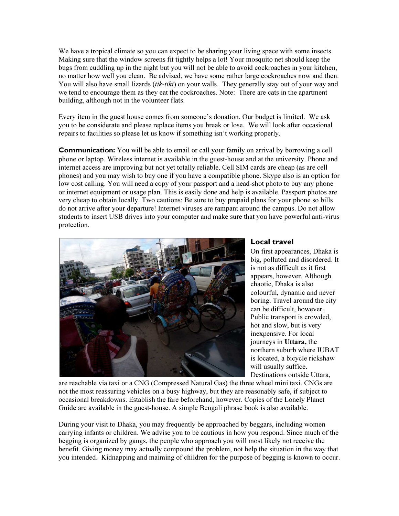We have a tropical climate so you can expect to be sharing your living space with some insects. Making sure that the window screens fit tightly helps a lot! Your mosquito net should keep the bugs from cuddling up in the night but you will not be able to avoid cockroaches in your kitchen, no matter how well you clean. Be advised, we have some rather large cockroaches now and then. You will also have small lizards *(tik-tiki)* on your walls. They generally stay out of your way and we tend to encourage them as they eat the cockroaches. Note: There are cats in the apartment building, although not in the volunteer flats.

Every item in the guest house comes from someone's donation. Our budget is limited. We ask you to be considerate and please replace items you break or lose. We will look after occasional repairs to facilities so please let us know if something isn't working properly.

**Communication:** You will be able to email or call your family on arrival by borrowing a cell phone or laptop. Wireless internet is available in the guest-house and at the university. Phone and internet access are improving but not yet totally reliable. Cell SIM cards are cheap (as are cell phones) and you may wish to buy one if you have a compatible phone. Skype also is an option for low cost calling. You will need a copy of your passport and a head-shot photo to buy any phone or internet equipment or usage plan. This is easily done and help is available. Passport photos are very cheap to obtain locally. Two cautions: Be sure to buy prepaid plans for your phone so bills do not arrive after your departure! Internet viruses are rampant around the campus. Do not allow students to insert USB drives into your computer and make sure that you have powerful anti-virus protection.



#### Local travel

On first appearances, Dhaka is big, polluted and disordered. It is not as difficult as it first appears, however. Although chaotic, Dhaka is also colourful, dynamic and never boring. Travel around the city can be difficult, however. Public transport is crowded, hot and slow, but is very inexpensive. For local journeys in Uttara, the northern suburb where IUBAT is located, a bicycle rickshaw will usually suffice. Destinations outside Uttara,

are reachable via taxi or a CNG (Compressed Natural Gas) the three wheel mini taxi. CNGs are not the most reassuring vehicles on a busy highway, but they are reasonably safe, if subject to occasional breakdowns. Establish the fare beforehand, however. Copies of the Lonely Planet Guide are available in the guest-house. A simple Bengali phrase book is also available.

During your visit to Dhaka, you may frequently be approached by beggars, including women carrying infants or children. We advise you to be cautious in how you respond. Since much of the begging is organized by gangs, the people who approach you will most likely not receive the benefit. Giving money may actually compound the problem, not help the situation in the way that you intended. Kidnapping and maiming of children for the purpose of begging is known to occur.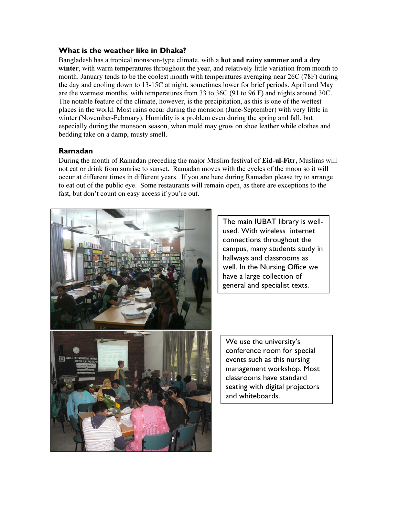#### What is the weather like in Dhaka?

Bangladesh has a tropical monsoon-type climate, with a hot and rainy summer and a dry winter, with warm temperatures throughout the year, and relatively little variation from month to month. January tends to be the coolest month with temperatures averaging near 26C (78F) during the day and cooling down to 13-15C at night, sometimes lower for brief periods. April and May are the warmest months, with temperatures from 33 to 36C (91 to 96 F) and nights around 30C. The notable feature of the climate, however, is the precipitation, as this is one of the wettest places in the world. Most rains occur during the monsoon (June-September) with very little in winter (November-February). Humidity is a problem even during the spring and fall, but especially during the monsoon season, when mold may grow on shoe leather while clothes and bedding take on a damp, musty smell.

#### Ramadan

During the month of Ramadan preceding the major Muslim festival of Eid-ul-Fitr, Muslims will not eat or drink from sunrise to sunset. Ramadan moves with the cycles of the moon so it will occur at different times in different years. If you are here during Ramadan please try to arrange to eat out of the public eye. Some restaurants will remain open, as there are exceptions to the fast, but don't count on easy access if you're out.



The main IUBAT library is wellused. With wireless internet connections throughout the campus, many students study in hallways and classrooms as well. In the Nursing Office we have a large collection of general and specialist texts.

We use the university's conference room for special events such as this nursing management workshop. Most classrooms have standard seating with digital projectors and whiteboards.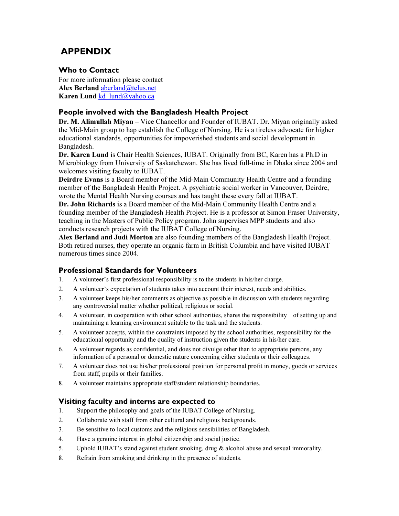## APPENDIX

#### Who to Contact

For more information please contact Alex Berland aberland@telus.net Karen Lund kd lund@yahoo.ca

#### People involved with the Bangladesh Health Project

Dr. M. Alimullah Miyan – Vice Chancellor and Founder of IUBAT. Dr. Miyan originally asked the Mid-Main group to hap establish the College of Nursing. He is a tireless advocate for higher educational standards, opportunities for impoverished students and social development in Bangladesh.

Dr. Karen Lund is Chair Health Sciences, IUBAT. Originally from BC, Karen has a Ph.D in Microbiology from University of Saskatchewan. She has lived full-time in Dhaka since 2004 and welcomes visiting faculty to IUBAT.

Deirdre Evans is a Board member of the Mid-Main Community Health Centre and a founding member of the Bangladesh Health Project. A psychiatric social worker in Vancouver, Deirdre, wrote the Mental Health Nursing courses and has taught these every fall at IUBAT.

Dr. John Richards is a Board member of the Mid-Main Community Health Centre and a founding member of the Bangladesh Health Project. He is a professor at Simon Fraser University, teaching in the Masters of Public Policy program. John supervises MPP students and also conducts research projects with the IUBAT College of Nursing.

Alex Berland and Judi Morton are also founding members of the Bangladesh Health Project. Both retired nurses, they operate an organic farm in British Columbia and have visited IUBAT numerous times since 2004.

#### Professional Standards for Volunteers

- 1. A volunteer's first professional responsibility is to the students in his/her charge.
- 2. A volunteer's expectation of students takes into account their interest, needs and abilities.
- 3. A volunteer keeps his/her comments as objective as possible in discussion with students regarding any controversial matter whether political, religious or social.
- 4. A volunteer, in cooperation with other school authorities, shares the responsibility of setting up and maintaining a learning environment suitable to the task and the students.
- 5. A volunteer accepts, within the constraints imposed by the school authorities, responsibility for the educational opportunity and the quality of instruction given the students in his/her care.
- 6. A volunteer regards as confidential, and does not divulge other than to appropriate persons, any information of a personal or domestic nature concerning either students or their colleagues.
- 7. A volunteer does not use his/her professional position for personal profit in money, goods or services from staff, pupils or their families.
- 8. A volunteer maintains appropriate staff/student relationship boundaries.

#### Visiting faculty and interns are expected to

- 1. Support the philosophy and goals of the IUBAT College of Nursing.
- 2. Collaborate with staff from other cultural and religious backgrounds.
- 3. Be sensitive to local customs and the religious sensibilities of Bangladesh.
- 4. Have a genuine interest in global citizenship and social justice.
- 5. Uphold IUBAT's stand against student smoking, drug & alcohol abuse and sexual immorality.
- 8. Refrain from smoking and drinking in the presence of students.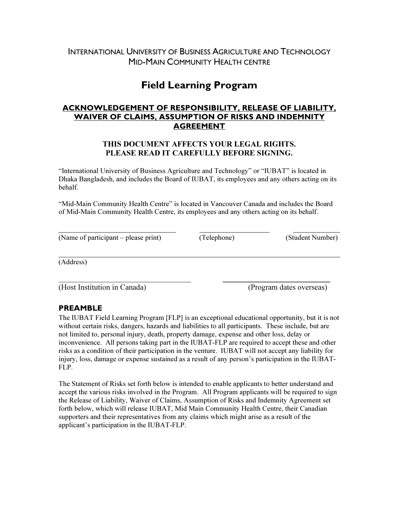## INTERNATIONAL UNIVERSITY OF BUSINESS AGRICULTURE AND TECHNOLOGY MID-MAIN COMMUNITY HEALTH CENTRE

## Field Learning Program

### ACKNOWLEDGEMENT OF RESPONSIBILITY, RELEASE OF LIABILITY, WAIVER OF CLAIMS, ASSUMPTION OF RISKS AND INDEMNITY AGREEMENT

#### THIS DOCUMENT AFFECTS YOUR LEGAL RIGHTS. PLEASE READ IT CAREFULLY BEFORE SIGNING.

"International University of Business Agriculture and Technology" or "IUBAT" is located in Dhaka Bangladesh, and includes the Board of IUBAT, its employees and any others acting on its behalf.

"Mid-Main Community Health Centre" is located in Vancouver Canada and includes the Board of Mid-Main Community Health Centre, its employees and any others acting on its behalf.

 $\overline{\phantom{a}}$ (Name of participant – please print) (Telephone) (Student Number)

 $\overline{a}$ (Address)

\_\_\_\_\_\_\_\_\_\_\_\_\_\_\_\_\_\_\_\_\_\_\_\_\_\_\_\_\_\_\_\_\_\_\_\_\_ \_\_\_\_\_\_\_\_\_\_\_\_\_\_\_\_\_\_\_\_\_\_\_\_\_\_\_\_\_\_ (Host Institution in Canada) (Program dates overseas)

### PREAMBLE

The IUBAT Field Learning Program [FLP] is an exceptional educational opportunity, but it is not without certain risks, dangers, hazards and liabilities to all participants. These include, but are not limited to, personal injury, death, property damage, expense and other loss, delay or inconvenience. All persons taking part in the IUBAT-FLP are required to accept these and other risks as a condition of their participation in the venture. IUBAT will not accept any liability for injury, loss, damage or expense sustained as a result of any person's participation in the IUBAT-FLP.

The Statement of Risks set forth below is intended to enable applicants to better understand and accept the various risks involved in the Program. All Program applicants will be required to sign the Release of Liability, Waiver of Claims, Assumption of Risks and Indemnity Agreement set forth below, which will release IUBAT, Mid Main Community Health Centre, their Canadian supporters and their representatives from any claims which might arise as a result of the applicant's participation in the IUBAT-FLP.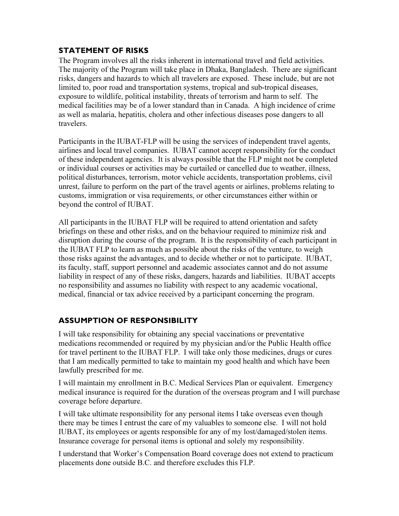## STATEMENT OF RISKS

The Program involves all the risks inherent in international travel and field activities. The majority of the Program will take place in Dhaka, Bangladesh. There are significant risks, dangers and hazards to which all travelers are exposed. These include, but are not limited to, poor road and transportation systems, tropical and sub-tropical diseases, exposure to wildlife, political instability, threats of terrorism and harm to self. The medical facilities may be of a lower standard than in Canada. A high incidence of crime as well as malaria, hepatitis, cholera and other infectious diseases pose dangers to all travelers.

Participants in the IUBAT-FLP will be using the services of independent travel agents, airlines and local travel companies. IUBAT cannot accept responsibility for the conduct of these independent agencies. It is always possible that the FLP might not be completed or individual courses or activities may be curtailed or cancelled due to weather, illness, political disturbances, terrorism, motor vehicle accidents, transportation problems, civil unrest, failure to perform on the part of the travel agents or airlines, problems relating to customs, immigration or visa requirements, or other circumstances either within or beyond the control of IUBAT.

All participants in the IUBAT FLP will be required to attend orientation and safety briefings on these and other risks, and on the behaviour required to minimize risk and disruption during the course of the program. It is the responsibility of each participant in the IUBAT FLP to learn as much as possible about the risks of the venture, to weigh those risks against the advantages, and to decide whether or not to participate. IUBAT, its faculty, staff, support personnel and academic associates cannot and do not assume liability in respect of any of these risks, dangers, hazards and liabilities. IUBAT accepts no responsibility and assumes no liability with respect to any academic vocational, medical, financial or tax advice received by a participant concerning the program.

## ASSUMPTION OF RESPONSIBILITY

I will take responsibility for obtaining any special vaccinations or preventative medications recommended or required by my physician and/or the Public Health office for travel pertinent to the IUBAT FLP. I will take only those medicines, drugs or cures that I am medically permitted to take to maintain my good health and which have been lawfully prescribed for me.

I will maintain my enrollment in B.C. Medical Services Plan or equivalent. Emergency medical insurance is required for the duration of the overseas program and I will purchase coverage before departure.

I will take ultimate responsibility for any personal items I take overseas even though there may be times I entrust the care of my valuables to someone else. I will not hold IUBAT, its employees or agents responsible for any of my lost/damaged/stolen items. Insurance coverage for personal items is optional and solely my responsibility.

I understand that Worker's Compensation Board coverage does not extend to practicum placements done outside B.C. and therefore excludes this FLP.